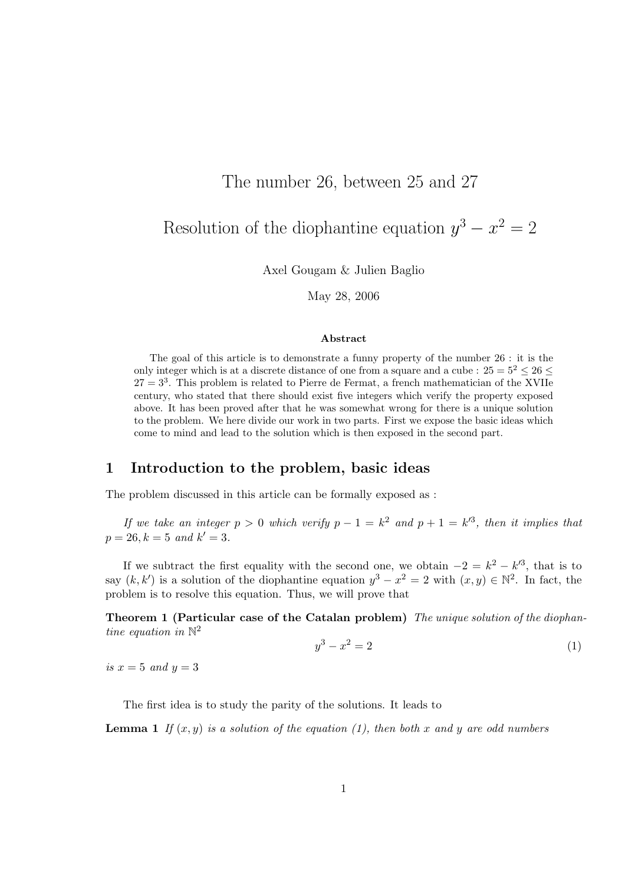# The number 26, between 25 and 27

Resolution of the diophantine equation  $y^3 - x^2 = 2$ 

Axel Gougam & Julien Baglio

May 28, 2006

#### Abstract

The goal of this article is to demonstrate a funny property of the number 26 : it is the only integer which is at a discrete distance of one from a square and a cube :  $25 = 5^2 < 26$  $27 = 3<sup>3</sup>$ . This problem is related to Pierre de Fermat, a french mathematician of the XVIIe century, who stated that there should exist five integers which verify the property exposed above. It has been proved after that he was somewhat wrong for there is a unique solution to the problem. We here divide our work in two parts. First we expose the basic ideas which come to mind and lead to the solution which is then exposed in the second part.

## 1 Introduction to the problem, basic ideas

The problem discussed in this article can be formally exposed as :

If we take an integer  $p > 0$  which verify  $p - 1 = k^2$  and  $p + 1 = k^2$ , then it implies that  $p = 26, k = 5 \text{ and } k' = 3.$ 

If we subtract the first equality with the second one, we obtain  $-2 = k^2 - k'^3$ , that is to say  $(k, k')$  is a solution of the diophantine equation  $y^3 - x^2 = 2$  with  $(x, y) \in \mathbb{N}^2$ . In fact, the problem is to resolve this equation. Thus, we will prove that

Theorem 1 (Particular case of the Catalan problem) The unique solution of the diophantine equation in  $\mathbb{N}^2$ 

$$
y^3 - x^2 = 2 \tag{1}
$$

is  $x = 5$  and  $y = 3$ 

The first idea is to study the parity of the solutions. It leads to

**Lemma 1** If  $(x, y)$  is a solution of the equation (1), then both x and y are odd numbers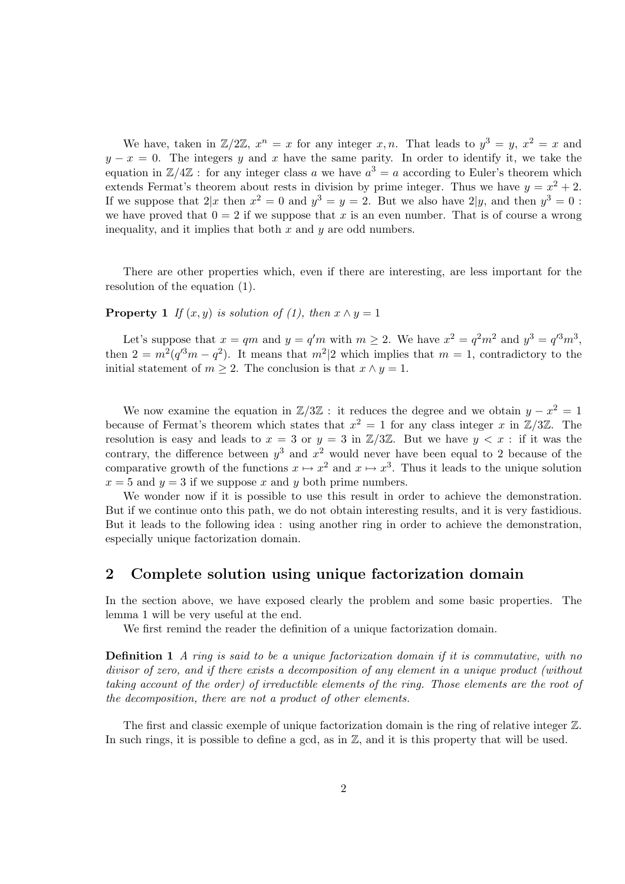We have, taken in  $\mathbb{Z}/2\mathbb{Z}$ ,  $x^n = x$  for any integer  $x, n$ . That leads to  $y^3 = y, x^2 = x$  and  $y - x = 0$ . The integers y and x have the same parity. In order to identify it, we take the equation in  $\mathbb{Z}/4\mathbb{Z}$ : for any integer class a we have  $a^3 = a$  according to Euler's theorem which extends Fermat's theorem about rests in division by prime integer. Thus we have  $y = x^2 + 2$ . If we suppose that  $2|x \text{ then } x^2 = 0 \text{ and } y^3 = y = 2$ . But we also have  $2|y \text{, and then } y^3 = 0$ : we have proved that  $0 = 2$  if we suppose that x is an even number. That is of course a wrong inequality, and it implies that both  $x$  and  $y$  are odd numbers.

There are other properties which, even if there are interesting, are less important for the resolution of the equation (1).

**Property 1** If  $(x, y)$  is solution of (1), then  $x \wedge y = 1$ 

Let's suppose that  $x = qm$  and  $y = q'm$  with  $m \ge 2$ . We have  $x^2 = q^2m^2$  and  $y^3 = q'^3m^3$ , then  $2 = m^2(q^{3m} - q^2)$ . It means that  $m^2/2$  which implies that  $m = 1$ , contradictory to the initial statement of  $m \geq 2$ . The conclusion is that  $x \wedge y = 1$ .

We now examine the equation in  $\mathbb{Z}/3\mathbb{Z}$ : it reduces the degree and we obtain  $y - x^2 = 1$ because of Fermat's theorem which states that  $x^2 = 1$  for any class integer x in  $\mathbb{Z}/3\mathbb{Z}$ . The resolution is easy and leads to  $x = 3$  or  $y = 3$  in  $\mathbb{Z}/3\mathbb{Z}$ . But we have  $y < x$ : if it was the contrary, the difference between  $y^3$  and  $x^2$  would never have been equal to 2 because of the comparative growth of the functions  $x \mapsto x^2$  and  $x \mapsto x^3$ . Thus it leads to the unique solution  $x = 5$  and  $y = 3$  if we suppose x and y both prime numbers.

We wonder now if it is possible to use this result in order to achieve the demonstration. But if we continue onto this path, we do not obtain interesting results, and it is very fastidious. But it leads to the following idea : using another ring in order to achieve the demonstration, especially unique factorization domain.

## 2 Complete solution using unique factorization domain

In the section above, we have exposed clearly the problem and some basic properties. The lemma 1 will be very useful at the end.

We first remind the reader the definition of a unique factorization domain.

**Definition 1** A ring is said to be a unique factorization domain if it is commutative, with no divisor of zero, and if there exists a decomposition of any element in a unique product (without taking account of the order) of irreductible elements of the ring. Those elements are the root of the decomposition, there are not a product of other elements.

The first and classic exemple of unique factorization domain is the ring of relative integer  $\mathbb{Z}$ . In such rings, it is possible to define a gcd, as in  $\mathbb{Z}$ , and it is this property that will be used.